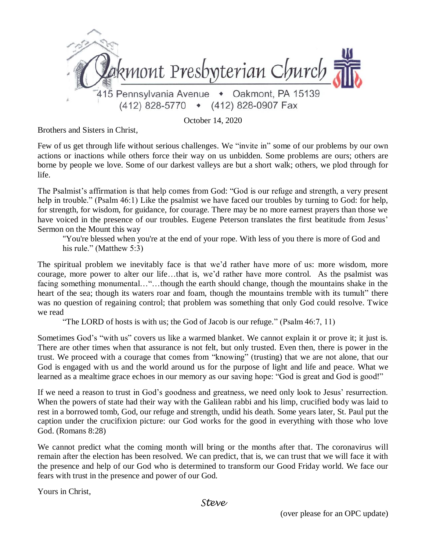

October 14, 2020

Brothers and Sisters in Christ,

Few of us get through life without serious challenges. We "invite in" some of our problems by our own actions or inactions while others force their way on us unbidden. Some problems are ours; others are borne by people we love. Some of our darkest valleys are but a short walk; others, we plod through for life.

The Psalmist's affirmation is that help comes from God: "God is our refuge and strength, a very present help in trouble." (Psalm 46:1) Like the psalmist we have faced our troubles by turning to God: for help, for strength, for wisdom, for guidance, for courage. There may be no more earnest prayers than those we have voiced in the presence of our troubles. Eugene Peterson translates the first beatitude from Jesus' Sermon on the Mount this way

"You're blessed when you're at the end of your rope. With less of you there is more of God and his rule." (Matthew 5:3)

The spiritual problem we inevitably face is that we'd rather have more of us: more wisdom, more courage, more power to alter our life…that is, we'd rather have more control. As the psalmist was facing something monumental…"…though the earth should change, though the mountains shake in the heart of the sea; though its waters roar and foam, though the mountains tremble with its tumult" there was no question of regaining control; that problem was something that only God could resolve. Twice we read

"The LORD of hosts is with us; the God of Jacob is our refuge." (Psalm 46:7, 11)

Sometimes God's "with us" covers us like a warmed blanket. We cannot explain it or prove it; it just is. There are other times when that assurance is not felt, but only trusted. Even then, there is power in the trust. We proceed with a courage that comes from "knowing" (trusting) that we are not alone, that our God is engaged with us and the world around us for the purpose of light and life and peace. What we learned as a mealtime grace echoes in our memory as our saving hope: "God is great and God is good!"

If we need a reason to trust in God's goodness and greatness, we need only look to Jesus' resurrection. When the powers of state had their way with the Galilean rabbi and his limp, crucified body was laid to rest in a borrowed tomb, God, our refuge and strength, undid his death. Some years later, St. Paul put the caption under the crucifixion picture: our God works for the good in everything with those who love God. (Romans 8:28)

We cannot predict what the coming month will bring or the months after that. The coronavirus will remain after the election has been resolved. We can predict, that is, we can trust that we will face it with the presence and help of our God who is determined to transform our Good Friday world. We face our fears with trust in the presence and power of our God.

Yours in Christ,